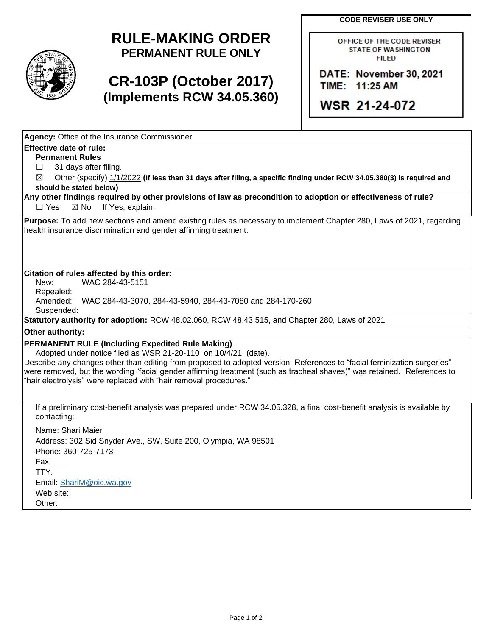**CODE REVISER USE ONLY** 



## **RULE-MAKING ORDER PERMANENT RULE ONLY**

# **CR-103P (October 2017) (Implements RCW 34.05.360)**

OFFICE OF THE CODE REVISER STATE OF WASHINGTON FIILED

**DATE: November 30, 2021 TIME: 11:25 AM** 

**WSR 21-24-072** 

**Agency:** Office of the Insurance Commissioner

### **Effective date of rule:**

**Permanent Rules** 

- $\Box$ 31 days after filing.
- $\boxtimes$ ☒ Other (specify) 1/1/2022 **(If less than 31 days after filing, a specific finding under RCW 34.05.380(3) is required and should be stated below)**

#### $\Box$  Yes **Any other findings required by other provisions of law as precondition to adoption or effectiveness of rule?**   $\boxtimes$  No If Yes, explain:

**Purpose:** To add new sections and amend existing rules as necessary to implement Chapter 280, Laws of 2021, regarding health insurance discrimination and gender affirming treatment.

#### **Citation of rules affected by this order:**

New: WAC 284-43-5151

Repealed:

Amended: WAC 284-43-3070, 284-43-5940, 284-43-7080 and 284-170-260

Suspended:

**Statutory authority for adoption:** RCW 48.02.060, RCW 48.43.515, and Chapter 280, Laws of 2021

### **Other authority:**

### **PERMANENT RULE (Including Expedited Rule Making)**

Adopted under notice filed as WSR 21-20-110 on 10/4/21 (date).

 were removed, but the wording "facial gender affirming treatment (such as tracheal shaves)" was retained. References to "hair electrolysis" were replaced with "hair removal procedures." Describe any changes other than editing from proposed to adopted version: References to "facial feminization surgeries"

If a preliminary cost-benefit analysis was prepared under RCW 34.05.328, a final cost-benefit analysis is available by contacting:

 Address: 302 Sid Snyder Ave., SW, Suite 200, Olympia, WA 98501 Name: Shari Maier Phone: 360-725-7173 Fax: TTY: Email: [ShariM@oic.wa.gov](mailto:ShariM@oic.wa.gov)  Web site: Other: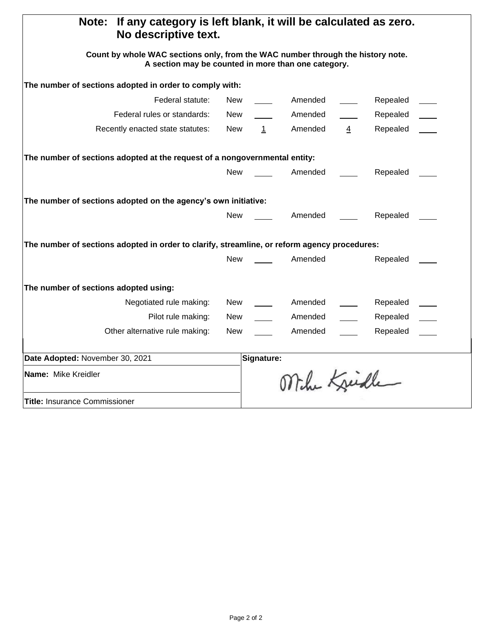| If any category is left blank, it will be calculated as zero.<br>Note:<br>No descriptive text.                                         |            |              |              |                |          |  |
|----------------------------------------------------------------------------------------------------------------------------------------|------------|--------------|--------------|----------------|----------|--|
| Count by whole WAC sections only, from the WAC number through the history note.<br>A section may be counted in more than one category. |            |              |              |                |          |  |
| The number of sections adopted in order to comply with:                                                                                |            |              |              |                |          |  |
| Federal statute:                                                                                                                       | New        |              | Amended      |                | Repealed |  |
| Federal rules or standards:                                                                                                            | New        |              | Amended      |                | Repealed |  |
| Recently enacted state statutes:                                                                                                       | New        | $\mathbf{1}$ | Amended      | $\overline{4}$ | Repealed |  |
| The number of sections adopted at the request of a nongovernmental entity:                                                             |            |              |              |                |          |  |
|                                                                                                                                        | New        |              | Amended      |                | Repealed |  |
| The number of sections adopted on the agency's own initiative:                                                                         |            |              |              |                |          |  |
|                                                                                                                                        | New        |              | Amended      |                | Repealed |  |
| The number of sections adopted in order to clarify, streamline, or reform agency procedures:                                           |            |              |              |                |          |  |
|                                                                                                                                        | <b>New</b> |              | Amended      |                | Repealed |  |
| The number of sections adopted using:                                                                                                  |            |              |              |                |          |  |
| Negotiated rule making:                                                                                                                | New        |              | Amended      |                | Repealed |  |
| Pilot rule making:                                                                                                                     | New        |              | Amended      |                | Repealed |  |
| Other alternative rule making:                                                                                                         | <b>New</b> |              | Amended      |                | Repealed |  |
| Date Adopted: November 30, 2021                                                                                                        |            | Signature:   |              |                |          |  |
| Name: Mike Kreidler                                                                                                                    |            |              | Mihr Kreidle |                |          |  |
| <b>Title:</b> Insurance Commissioner                                                                                                   |            |              |              |                |          |  |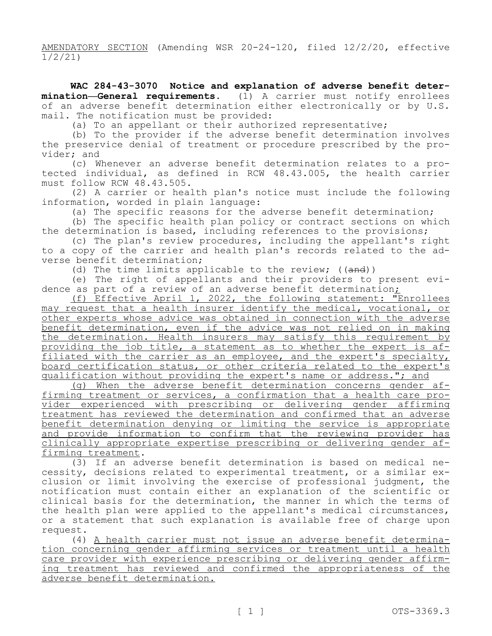AMENDATORY SECTION (Amending WSR 20-24-120, filed 12/2/20, effective 1/2/21)

 **WAC 284-43-3070 Notice and explanation of adverse benefit deter- mination—General requirements.** (1) A carrier must notify enrollees of an adverse benefit determination either electronically or by U.S. mail. The notification must be provided:

(a) To an appellant or their authorized representative;

(b) To the provider if the adverse benefit determination involves the preservice denial of treatment or procedure prescribed by the provider; and

(c) Whenever an adverse benefit determination relates to a protected individual, as defined in RCW 48.43.005, the health carrier must follow RCW 48.43.505.

(2) A carrier or health plan's notice must include the following information, worded in plain language:

(a) The specific reasons for the adverse benefit determination;

(b) The specific health plan policy or contract sections on which the determination is based, including references to the provisions;

(c) The plan's review procedures, including the appellant's right to a copy of the carrier and health plan's records related to the adverse benefit determination;

(d) The time limits applicable to the review;  $((and))$ 

(e) The right of appellants and their providers to present evidence as part of a review of an adverse benefit determination;

(f) Effective April 1, 2022, the following statement: "Enrollees may request that a health insurer identify the medical, vocational, or other experts whose advice was obtained in connection with the adverse benefit determination, even if the advice was not relied on in making the determination. Health insurers may satisfy this requirement by providing the job title, a statement as to whether the expert is af-<br>filiated with the carrier as an employee, and the expert's specialty, board certification status, or other criteria related to the expert's qualification without providing the expert's name or address."; and

(g) When the adverse benefit determination concerns gender af-<br>firming treatment or services, a confirmation that a health care pro-<br>vider experienced with prescribing or delivering gender affirming treatment has reviewed the determination and confirmed that an adverse benefit determination denying or limiting the service is appropriate and provide information to confirm that the reviewing provider has clinically appropriate expertise prescribing or delivering gender af-<br>firming treatment.

(3) If an adverse benefit determination is based on medical ne- cessity, decisions related to experimental treatment, or a similar ex- clusion or limit involving the exercise of professional judgment, the notification must contain either an explanation of the scientific or clinical basis for the determination, the manner in which the terms of the health plan were applied to the appellant's medical circumstances, or a statement that such explanation is available free of charge upon request.

(4) A health carrier must not issue an adverse benefit determination concerning gender affirming services or treatment until a health care provider with experience prescribing or delivering gender affirm-<br>ing treatment has reviewed and confirmed the appropriateness of the adverse benefit determination.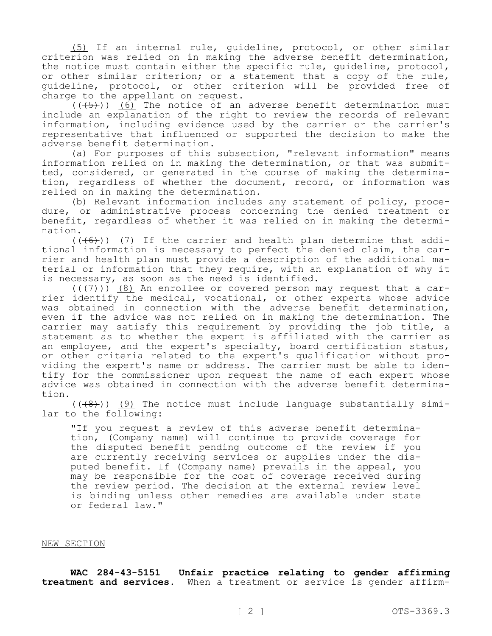(5) If an internal rule, guideline, protocol, or other similar criterion was relied on in making the adverse benefit determination, the notice must contain either the specific rule, guideline, protocol, or other similar criterion; or a statement that a copy of the rule, guideline, protocol, or other criterion will be provided free of charge to the appellant on request.

 $((+5))$  (6) The notice of an adverse benefit determination must include an explanation of the right to review the records of relevant information, including evidence used by the carrier or the carrier's representative that influenced or supported the decision to make the adverse benefit determination.

(a) For purposes of this subsection, "relevant information" means information relied on in making the determination, or that was submitted, considered, or generated in the course of making the determina-<br>tion, regardless of whether the document, record, or information was relied on in making the determination.

(b) Relevant information includes any statement of policy, proce- dure, or administrative process concerning the denied treatment or benefit, regardless of whether it was relied on in making the determi- nation.

 $((+6))$  (7) If the carrier and health plan determine that additional information is necessary to perfect the denied claim, the car-<br>rier and health plan must provide a description of the additional ma-<br>terial or information that they require, with an explanation of why it is necessary, as soon as the need is identified.

 $((+7))$  (8) An enrollee or covered person may request that a carrier identify the medical, vocational, or other experts whose advice was obtained in connection with the adverse benefit determination, even if the advice was not relied on in making the determination. The carrier may satisfy this requirement by providing the job title, a statement as to whether the expert is affiliated with the carrier as an employee, and the expert's specialty, board certification status, or other criteria related to the expert's qualification without pro-<br>viding the expert's name or address. The carrier must be able to iden-<br>tify for the commissioner upon request the name of each expert whose advice was obtained in connection with the adverse benefit determina- tion.

 $((+8))$  (9) The notice must include language substantially simi-<br>lar to the following:

"If you request a review of this adverse benefit determina- tion, (Company name) will continue to provide coverage for the disputed benefit pending outcome of the review if you<br>are currently receiving services or supplies under the disputed benefit. If (Company name) prevails in the appeal, you may be responsible for the cost of coverage received during the review period. The decision at the external review level is binding unless other remedies are available under state or federal law."

#### NEW SECTION

 **WAC 284-43-5151 Unfair practice relating to gender affirming treatment and services.** When a treatment or service is gender affirm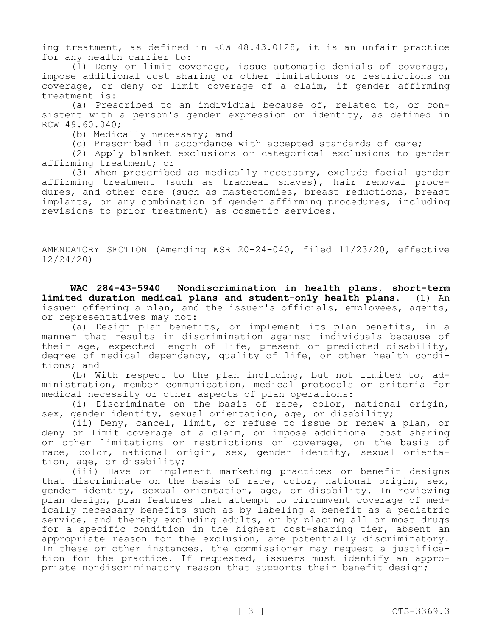ing treatment, as defined in RCW 48.43.0128, it is an unfair practice for any health carrier to:

(1) Deny or limit coverage, issue automatic denials of coverage, impose additional cost sharing or other limitations or restrictions on coverage, or deny or limit coverage of a claim, if gender affirming treatment is:<br>(a) Prescribed to an individual because of, related to, or con-

sistent with a person's gender expression or identity, as defined in RCW 49.60.040;

(b) Medically necessary; and

(c) Prescribed in accordance with accepted standards of care;

(2) Apply blanket exclusions or categorical exclusions to gender affirming treatment; or

(3) When prescribed as medically necessary, exclude facial gender<br>affirming treatment (such as tracheal shaves), hair removal procedures, and other care (such as mastectomies, breast reductions, breast implants, or any combination of gender affirming procedures, including revisions to prior treatment) as cosmetic services.

AMENDATORY SECTION (Amending WSR 20-24-040, filed 11/23/20, effective 12/24/20)

WAC 284-43-5940 **limited duration medical plans and student-only health plans.** (1) An **WAC 284-43-5940 Nondiscrimination in health plans, short-term**  issuer offering a plan, and the issuer's officials, employees, agents, or representatives may not:

(a) Design plan benefits, or implement its plan benefits, in a manner that results in discrimination against individuals because of their age, expected length of life, present or predicted disability, degree of medical dependency, quality of life, or other health condi-<br>tions; and<br>(b) With respect to the plan including, but not limited to, ad-

ministration, member communication, medical protocols or criteria for medical necessity or other aspects of plan operations:

(i) Discriminate on the basis of race, color, national origin, sex, gender identity, sexual orientation, age, or disability;

(ii) Deny, cancel, limit, or refuse to issue or renew a plan, or deny or limit coverage of a claim, or impose additional cost sharing or other limitations or restrictions on coverage, on the basis of race, color, national origin, sex, gender identity, sexual orienta-<br>tion, age, or disability;

(iii) Have or implement marketing practices or benefit designs that discriminate on the basis of race, color, national origin, sex, gender identity, sexual orientation, age, or disability. In reviewing plan design, plan features that attempt to circumvent coverage of medically necessary benefits such as by labeling a benefit as a pediatric service, and thereby excluding adults, or by placing all or most drugs for a specific condition in the highest cost-sharing tier, absent an appropriate reason for the exclusion, are potentially discriminatory. In these or other instances, the commissioner may request a justification for the practice. If requested, issuers must identify an appro-<br>priate nondiscriminatory reason that supports their benefit design;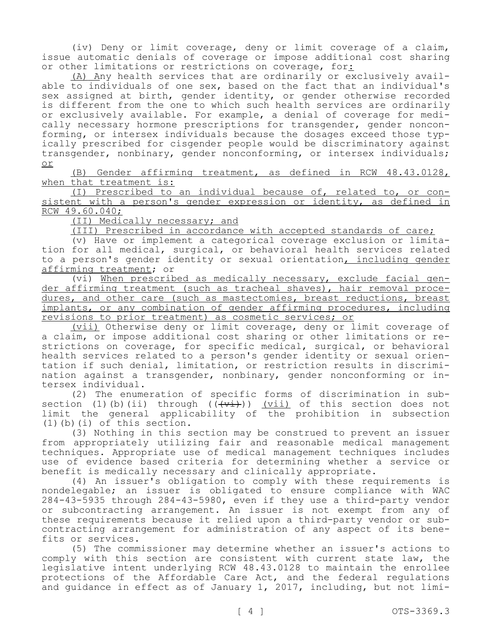(iv) Deny or limit coverage, deny or limit coverage of a claim, issue automatic denials of coverage or impose additional cost sharing or other limitations or restrictions on coverage, for $\cdot$  (A) Any health services that are ordinarily or exclusively avail-

able to individuals of one sex, based on the fact that an individual's sex assigned at birth, gender identity, or gender otherwise recorded is different from the one to which such health services are ordinarily or exclusively available. For example, a denial of coverage for medi-<br>cally necessary hormone prescriptions for transgender, gender noncon-<br>forming, or intersex individuals because the dosages exceed those typ-<br>ically pres transgender, nonbinary, gender nonconforming, or intersex individuals; or

(B) Gender affirming treatment, as defined in RCW 48.43.0128, when that treatment is:<br>(I) Prescribed to an individual because of, related to, or con-

sistent with a person's gender expression or identity, as defined in RCW 49.60.040;

(II) Medically necessary; and

(III) Prescribed in accordance with accepted standards of care;<br>(v) Have or implement a categorical coverage exclusion or limita-

(v) Have or implement a categorical coverage exclusion or limita- tion for all medical, surgical, or behavioral health services related to a person's gender identity or sexual orientation, including gender affirming treatment; or<br>(vi) When prescribed as medically necessary, exclude facial gen-

der affirming treatment (such as tracheal shaves), hair removal proce- dures, and other care (such as mastectomies, breast reductions, breast implants, or any combination of gender affirming procedures, including revisions to prior treatment) as cosmetic services; or

(vii) Otherwise deny or limit coverage, deny or limit coverage of<br>a claim, or impose additional cost sharing or other limitations or restrictions on coverage, for specific medical, surgical, or behavioral health services related to a person's gender identity or sexual orien-<br>tation if such denial, limitation, or restriction results in discrimi-<br>nation against a transgender, nonbinary, gender nonconforming or in-<br>tersex indi

(2) The enumeration of specific forms of discrimination in sub-<br>section (1)(b)(ii) through (( $\overline{(v+i)}$ )) <u>(vii)</u> of this section does not limit the general applicability of the prohibition in subsection (1)(b)(i) of this section.

(3) Nothing in this section may be construed to prevent an issuer from appropriately utilizing fair and reasonable medical management techniques. Appropriate use of medical management techniques includes use of evidence based criteria for determining whether a service or benefit is medically necessary and clinically appropriate.

(4) An issuer's obligation to comply with these requirements is nondelegable; an issuer is obligated to ensure compliance with WAC 284-43-5935 through 284-43-5980, even if they use a third-party vendor or subcontracting arrangement. An issuer is not exempt from any of these requirements because it relied upon a third-party vendor or subcontracting arrangement for administration of any aspect of its benefits or services.

(5) The commissioner may determine whether an issuer's actions to comply with this section are consistent with current state law, the legislative intent underlying RCW 48.43.0128 to maintain the enrollee protections of the Affordable Care Act, and the federal regulations and guidance in effect as of January 1, 2017, including, but not limi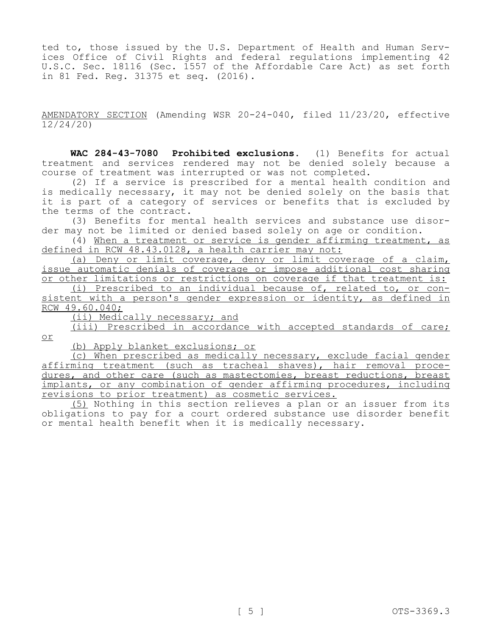ted to, those issued by the U.S. Department of Health and Human Serv- ices Office of Civil Rights and federal regulations implementing 42 U.S.C. Sec. 18116 (Sec. 1557 of the Affordable Care Act) as set forth in 81 Fed. Reg. 31375 et seq. (2016).

AMENDATORY SECTION (Amending WSR 20-24-040, filed 11/23/20, effective 12/24/20)

 **WAC 284-43-7080 Prohibited exclusions.** (1) Benefits for actual treatment and services rendered may not be denied solely because a course of treatment was interrupted or was not completed.

(2) If a service is prescribed for a mental health condition and is medically necessary, it may not be denied solely on the basis that it is part of a category of services or benefits that is excluded by the terms of the contract.<br>(3) Benefits for mental health services and substance use disor-

der may not be limited or denied based solely on age or condition.

(4) When a treatment or service is gender affirming treatment, as defined in RCW 48.43.0128, a health carrier may not:

(a) Deny or limit coverage, deny or limit coverage of a claim, issue automatic denials of coverage or impose additional cost sharing or other limitations or restrictions on coverage if that treatment is:<br>(i) Prescribed to an individual because of, related to, or con-

sistent with a person's gender expression or identity, as defined in RCW 49.60.040;

(ii) Medically necessary; and

(iii) Prescribed in accordance with accepted standards of care; or

(b) Apply blanket exclusions; or

(c) When prescribed as medically necessary, exclude facial gender affirming treatment (such as tracheal shaves), hair removal proce-<br>dures, and other care (such as mastectomies, breast reductions, breast implants, or any combination of gender affirming procedures, including revisions to prior treatment) as cosmetic services.

(5) Nothing in this section relieves a plan or an issuer from its obligations to pay for a court ordered substance use disorder benefit or mental health benefit when it is medically necessary.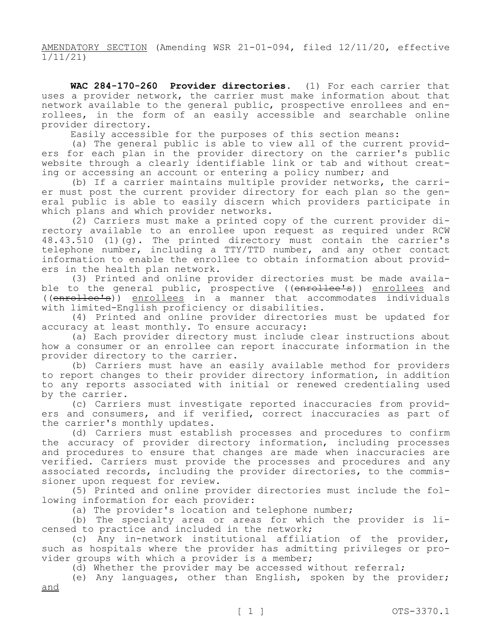AMENDATORY SECTION (Amending WSR 21-01-094, filed 12/11/20, effective 1/11/21)

 **WAC 284-170-260 Provider directories.** (1) For each carrier that uses a provider network, the carrier must make information about that<br>network available to the general public, prospective enrollees and enrollees, in the form of an easily accessible and searchable online provider directory.

Easily accessible for the purposes of this section means:<br>(a) The general public is able to view all of the current providers for each plan in the provider directory on the carrier's public website through a clearly identifiable link or tab and without creat-<br>ing or accessing an account or entering a policy number; and<br>(b) If a carrier maintains multiple provider networks, the carri-

er must post the current provider directory for each plan so the gen-<br>eral public is able to easily discern which providers participate in which plans and which provider networks.

(2) Carriers must make a printed copy of the current provider di- rectory available to an enrollee upon request as required under RCW 48.43.510 (1)(g). The printed directory must contain the carrier's telephone number, including a TTY/TTD number, and any other contact information to enable the enrollee to obtain information about provid-<br>ers in the health plan network.<br>(3) Printed and online provider directories must be made availa-

ble to the general public, prospective ((enrollee's)) enrollees and ((enrollee's)) enrollees in a manner that accommodates individuals with limited-English proficiency or disabilities.

(4) Printed and online provider directories must be updated for accuracy at least monthly. To ensure accuracy:

(a) Each provider directory must include clear instructions about how a consumer or an enrollee can report inaccurate information in the provider directory to the carrier.

(b) Carriers must have an easily available method for providers to report changes to their provider directory information, in addition to any reports associated with initial or renewed credentialing used

by the carrier.<br>(c) Carriers must investigate reported inaccuracies from providers and consumers, and if verified, correct inaccuracies as part of the carrier's monthly updates.

(d) Carriers must establish processes and procedures to confirm the accuracy of provider directory information, including processes and procedures to ensure that changes are made when inaccuracies are verified. Carriers must provide the processes and procedures and any associated records, including the provider directories, to the commis-<br>sioner upon request for review.

(5) Printed and online provider directories must include the following information for each provider:

(a) The provider's location and telephone number;

(b) The specialty area or areas for which the provider is licensed to practice and included in the network;

(c) Any in-network institutional affiliation of the provider, such as hospitals where the provider has admitting privileges or provider groups with which a provider is a member;

(d) Whether the provider may be accessed without referral;

(e) Any languages, other than English, spoken by the provider; and